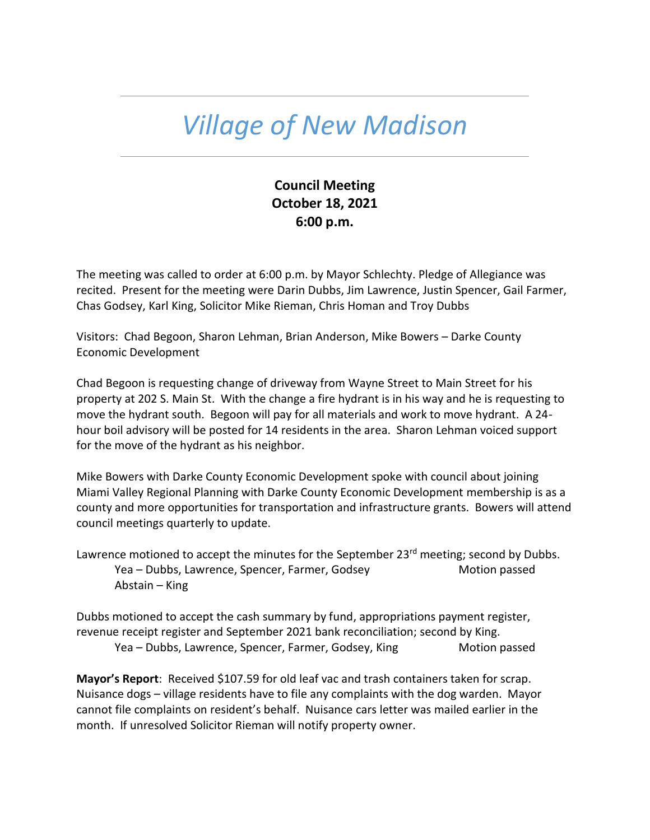## *Village of New Madison*

## **Council Meeting October 18, 2021 6:00 p.m.**

The meeting was called to order at 6:00 p.m. by Mayor Schlechty. Pledge of Allegiance was recited. Present for the meeting were Darin Dubbs, Jim Lawrence, Justin Spencer, Gail Farmer, Chas Godsey, Karl King, Solicitor Mike Rieman, Chris Homan and Troy Dubbs

Visitors: Chad Begoon, Sharon Lehman, Brian Anderson, Mike Bowers – Darke County Economic Development

Chad Begoon is requesting change of driveway from Wayne Street to Main Street for his property at 202 S. Main St. With the change a fire hydrant is in his way and he is requesting to move the hydrant south. Begoon will pay for all materials and work to move hydrant. A 24 hour boil advisory will be posted for 14 residents in the area. Sharon Lehman voiced support for the move of the hydrant as his neighbor.

Mike Bowers with Darke County Economic Development spoke with council about joining Miami Valley Regional Planning with Darke County Economic Development membership is as a county and more opportunities for transportation and infrastructure grants. Bowers will attend council meetings quarterly to update.

Lawrence motioned to accept the minutes for the September 23<sup>rd</sup> meeting; second by Dubbs. Yea – Dubbs, Lawrence, Spencer, Farmer, Godsey Motion passed Abstain – King

Dubbs motioned to accept the cash summary by fund, appropriations payment register, revenue receipt register and September 2021 bank reconciliation; second by King. Yea – Dubbs, Lawrence, Spencer, Farmer, Godsey, King Motion passed

**Mayor's Report**: Received \$107.59 for old leaf vac and trash containers taken for scrap. Nuisance dogs – village residents have to file any complaints with the dog warden. Mayor cannot file complaints on resident's behalf. Nuisance cars letter was mailed earlier in the month. If unresolved Solicitor Rieman will notify property owner.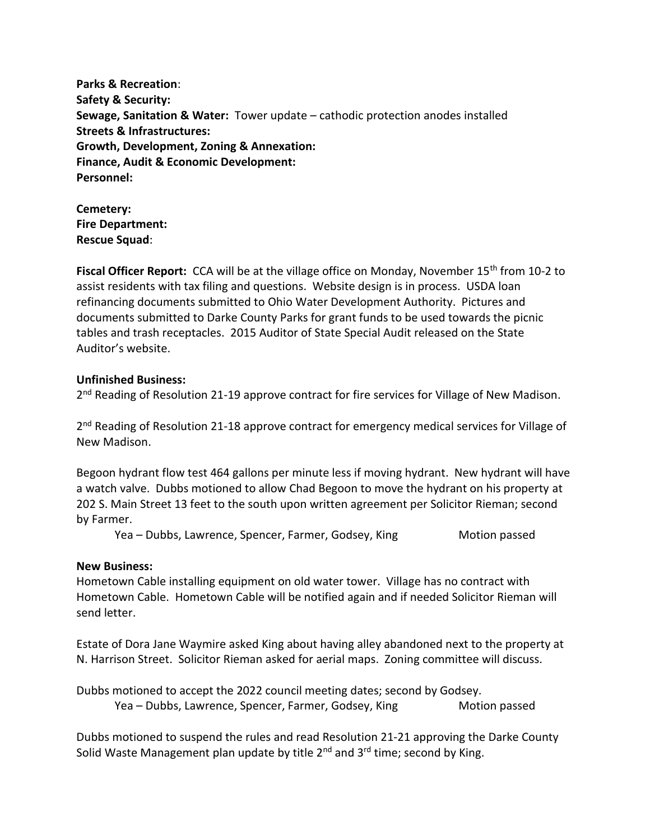**Parks & Recreation**: **Safety & Security: Sewage, Sanitation & Water:** Tower update – cathodic protection anodes installed **Streets & Infrastructures: Growth, Development, Zoning & Annexation: Finance, Audit & Economic Development: Personnel:** 

**Cemetery: Fire Department: Rescue Squad**:

Fiscal Officer Report: CCA will be at the village office on Monday, November 15<sup>th</sup> from 10-2 to assist residents with tax filing and questions. Website design is in process. USDA loan refinancing documents submitted to Ohio Water Development Authority. Pictures and documents submitted to Darke County Parks for grant funds to be used towards the picnic tables and trash receptacles. 2015 Auditor of State Special Audit released on the State Auditor's website.

## **Unfinished Business:**

2<sup>nd</sup> Reading of Resolution 21-19 approve contract for fire services for Village of New Madison.

2<sup>nd</sup> Reading of Resolution 21-18 approve contract for emergency medical services for Village of New Madison.

Begoon hydrant flow test 464 gallons per minute less if moving hydrant. New hydrant will have a watch valve. Dubbs motioned to allow Chad Begoon to move the hydrant on his property at 202 S. Main Street 13 feet to the south upon written agreement per Solicitor Rieman; second by Farmer.

Yea – Dubbs, Lawrence, Spencer, Farmer, Godsey, King Motion passed

## **New Business:**

Hometown Cable installing equipment on old water tower. Village has no contract with Hometown Cable. Hometown Cable will be notified again and if needed Solicitor Rieman will send letter.

Estate of Dora Jane Waymire asked King about having alley abandoned next to the property at N. Harrison Street. Solicitor Rieman asked for aerial maps. Zoning committee will discuss.

Dubbs motioned to accept the 2022 council meeting dates; second by Godsey. Yea – Dubbs, Lawrence, Spencer, Farmer, Godsey, King Motion passed

Dubbs motioned to suspend the rules and read Resolution 21-21 approving the Darke County Solid Waste Management plan update by title  $2^{nd}$  and  $3^{rd}$  time; second by King.